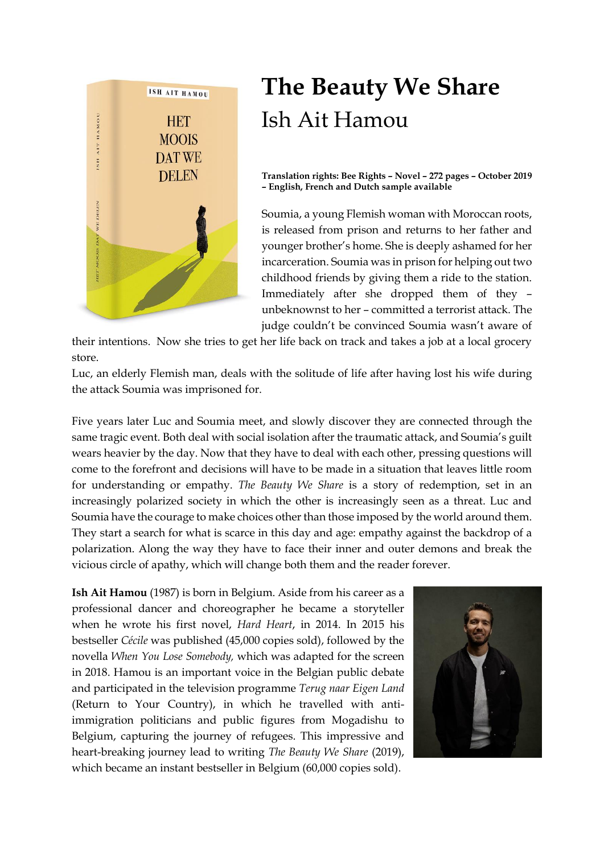

# **The Beauty We Share** Ish Ait Hamou

**Translation rights: Bee Rights – Novel – 272 pages – October 2019 – English, French and Dutch sample available**

Soumia, a young Flemish woman with Moroccan roots, is released from prison and returns to her father and younger brother's home. She is deeply ashamed for her incarceration. Soumia was in prison for helping out two childhood friends by giving them a ride to the station. Immediately after she dropped them of they – unbeknownst to her – committed a terrorist attack. The judge couldn't be convinced Soumia wasn't aware of

their intentions. Now she tries to get her life back on track and takes a job at a local grocery store.

Luc, an elderly Flemish man, deals with the solitude of life after having lost his wife during the attack Soumia was imprisoned for.

Five years later Luc and Soumia meet, and slowly discover they are connected through the same tragic event. Both deal with social isolation after the traumatic attack, and Soumia's guilt wears heavier by the day. Now that they have to deal with each other, pressing questions will come to the forefront and decisions will have to be made in a situation that leaves little room for understanding or empathy. *The Beauty We Share* is a story of redemption, set in an increasingly polarized society in which the other is increasingly seen as a threat. Luc and Soumia have the courage to make choices other than those imposed by the world around them. They start a search for what is scarce in this day and age: empathy against the backdrop of a polarization. Along the way they have to face their inner and outer demons and break the vicious circle of apathy, which will change both them and the reader forever.

**Ish Ait Hamou** (1987) is born in Belgium. Aside from his career as a professional dancer and choreographer he became a storyteller when he wrote his first novel, *Hard Heart*, in 2014. In 2015 his bestseller *Cécile* was published (45,000 copies sold), followed by the novella *When You Lose Somebody,* which was adapted for the screen in 2018. Hamou is an important voice in the Belgian public debate and participated in the television programme *Terug naar Eigen Land* (Return to Your Country), in which he travelled with antiimmigration politicians and public figures from Mogadishu to Belgium, capturing the journey of refugees. This impressive and heart-breaking journey lead to writing *The Beauty We Share* (2019), which became an instant bestseller in Belgium (60,000 copies sold).

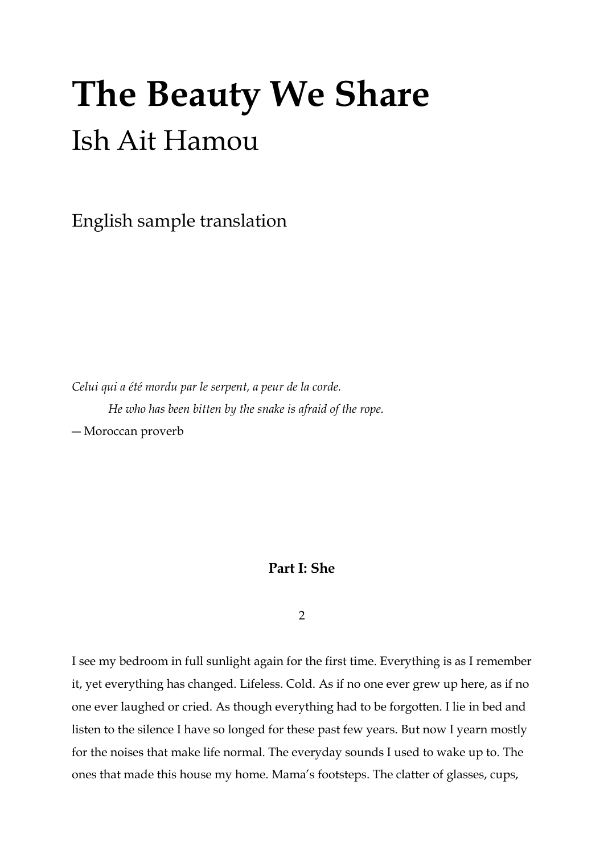# **The Beauty We Share** Ish Ait Hamou

English sample translation

*Celui qui a été mordu par le serpent, a peur de la corde. He who has been bitten by the snake is afraid of the rope.*

― Moroccan proverb

# **Part I: She**

2

I see my bedroom in full sunlight again for the first time. Everything is as I remember it, yet everything has changed. Lifeless. Cold. As if no one ever grew up here, as if no one ever laughed or cried. As though everything had to be forgotten. I lie in bed and listen to the silence I have so longed for these past few years. But now I yearn mostly for the noises that make life normal. The everyday sounds I used to wake up to. The ones that made this house my home. Mama's footsteps. The clatter of glasses, cups,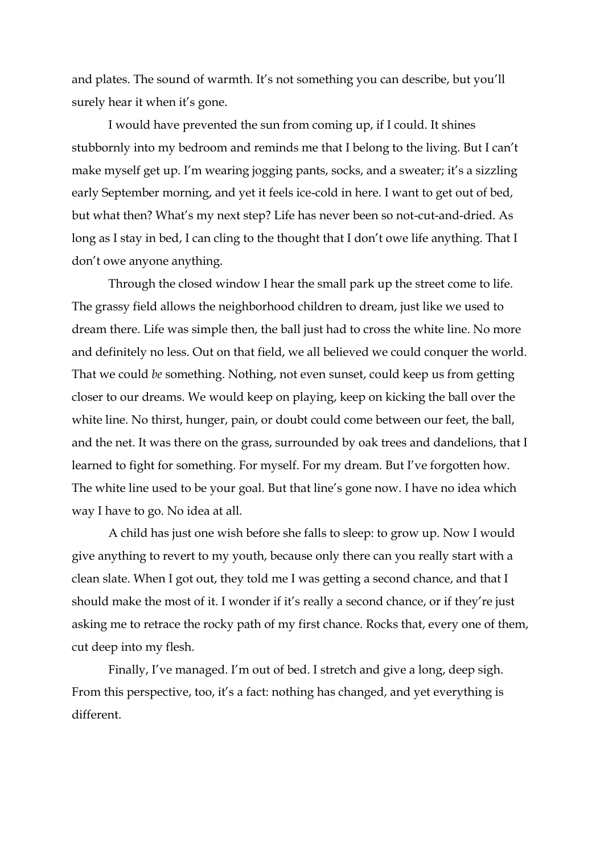and plates. The sound of warmth. It's not something you can describe, but you'll surely hear it when it's gone.

I would have prevented the sun from coming up, if I could. It shines stubbornly into my bedroom and reminds me that I belong to the living. But I can't make myself get up. I'm wearing jogging pants, socks, and a sweater; it's a sizzling early September morning, and yet it feels ice-cold in here. I want to get out of bed, but what then? What's my next step? Life has never been so not-cut-and-dried. As long as I stay in bed, I can cling to the thought that I don't owe life anything. That I don't owe anyone anything.

Through the closed window I hear the small park up the street come to life. The grassy field allows the neighborhood children to dream, just like we used to dream there. Life was simple then, the ball just had to cross the white line. No more and definitely no less. Out on that field, we all believed we could conquer the world. That we could *be* something. Nothing, not even sunset, could keep us from getting closer to our dreams. We would keep on playing, keep on kicking the ball over the white line. No thirst, hunger, pain, or doubt could come between our feet, the ball, and the net. It was there on the grass, surrounded by oak trees and dandelions, that I learned to fight for something. For myself. For my dream. But I've forgotten how. The white line used to be your goal. But that line's gone now. I have no idea which way I have to go. No idea at all.

A child has just one wish before she falls to sleep: to grow up. Now I would give anything to revert to my youth, because only there can you really start with a clean slate. When I got out, they told me I was getting a second chance, and that I should make the most of it. I wonder if it's really a second chance, or if they're just asking me to retrace the rocky path of my first chance. Rocks that, every one of them, cut deep into my flesh.

Finally, I've managed. I'm out of bed. I stretch and give a long, deep sigh. From this perspective, too, it's a fact: nothing has changed, and yet everything is different.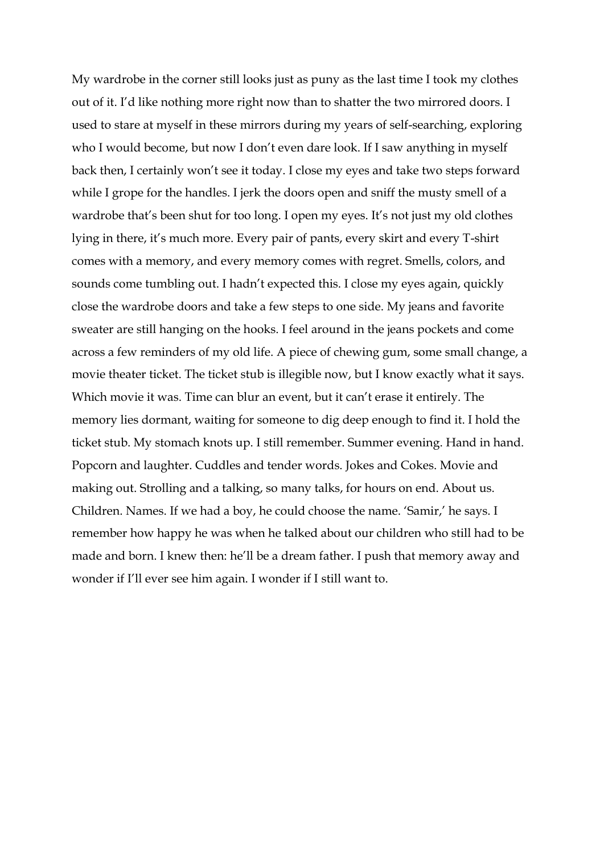My wardrobe in the corner still looks just as puny as the last time I took my clothes out of it. I'd like nothing more right now than to shatter the two mirrored doors. I used to stare at myself in these mirrors during my years of self-searching, exploring who I would become, but now I don't even dare look. If I saw anything in myself back then, I certainly won't see it today. I close my eyes and take two steps forward while I grope for the handles. I jerk the doors open and sniff the musty smell of a wardrobe that's been shut for too long. I open my eyes. It's not just my old clothes lying in there, it's much more. Every pair of pants, every skirt and every T-shirt comes with a memory, and every memory comes with regret. Smells, colors, and sounds come tumbling out. I hadn't expected this. I close my eyes again, quickly close the wardrobe doors and take a few steps to one side. My jeans and favorite sweater are still hanging on the hooks. I feel around in the jeans pockets and come across a few reminders of my old life. A piece of chewing gum, some small change, a movie theater ticket. The ticket stub is illegible now, but I know exactly what it says. Which movie it was. Time can blur an event, but it can't erase it entirely. The memory lies dormant, waiting for someone to dig deep enough to find it. I hold the ticket stub. My stomach knots up. I still remember. Summer evening. Hand in hand. Popcorn and laughter. Cuddles and tender words. Jokes and Cokes. Movie and making out. Strolling and a talking, so many talks, for hours on end. About us. Children. Names. If we had a boy, he could choose the name. 'Samir,' he says. I remember how happy he was when he talked about our children who still had to be made and born. I knew then: he'll be a dream father. I push that memory away and wonder if I'll ever see him again. I wonder if I still want to.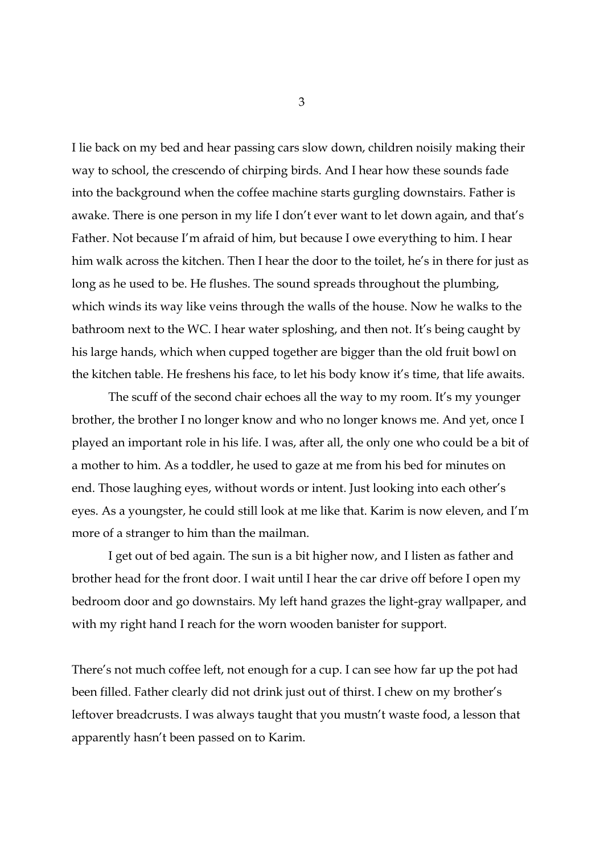I lie back on my bed and hear passing cars slow down, children noisily making their way to school, the crescendo of chirping birds. And I hear how these sounds fade into the background when the coffee machine starts gurgling downstairs. Father is awake. There is one person in my life I don't ever want to let down again, and that's Father. Not because I'm afraid of him, but because I owe everything to him. I hear him walk across the kitchen. Then I hear the door to the toilet, he's in there for just as long as he used to be. He flushes. The sound spreads throughout the plumbing, which winds its way like veins through the walls of the house. Now he walks to the bathroom next to the WC. I hear water sploshing, and then not. It's being caught by his large hands, which when cupped together are bigger than the old fruit bowl on the kitchen table. He freshens his face, to let his body know it's time, that life awaits.

The scuff of the second chair echoes all the way to my room. It's my younger brother, the brother I no longer know and who no longer knows me. And yet, once I played an important role in his life. I was, after all, the only one who could be a bit of a mother to him. As a toddler, he used to gaze at me from his bed for minutes on end. Those laughing eyes, without words or intent. Just looking into each other's eyes. As a youngster, he could still look at me like that. Karim is now eleven, and I'm more of a stranger to him than the mailman.

I get out of bed again. The sun is a bit higher now, and I listen as father and brother head for the front door. I wait until I hear the car drive off before I open my bedroom door and go downstairs. My left hand grazes the light-gray wallpaper, and with my right hand I reach for the worn wooden banister for support.

There's not much coffee left, not enough for a cup. I can see how far up the pot had been filled. Father clearly did not drink just out of thirst. I chew on my brother's leftover breadcrusts. I was always taught that you mustn't waste food, a lesson that apparently hasn't been passed on to Karim.

3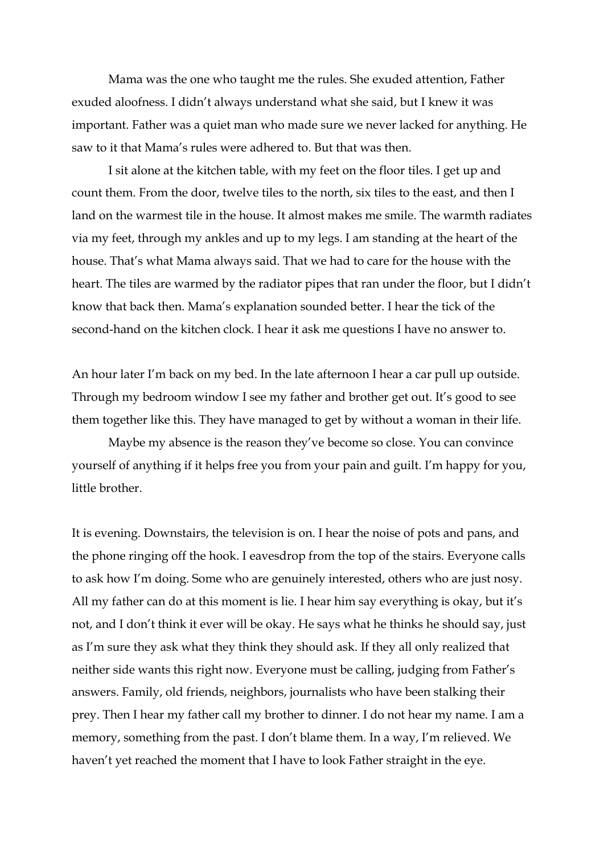Mama was the one who taught me the rules. She exuded attention, Father exuded aloofness. I didn't always understand what she said, but I knew it was important. Father was a quiet man who made sure we never lacked for anything. He saw to it that Mama's rules were adhered to. But that was then.

I sit alone at the kitchen table, with my feet on the floor tiles. I get up and count them. From the door, twelve tiles to the north, six tiles to the east, and then I land on the warmest tile in the house. It almost makes me smile. The warmth radiates via my feet, through my ankles and up to my legs. I am standing at the heart of the house. That's what Mama always said. That we had to care for the house with the heart. The tiles are warmed by the radiator pipes that ran under the floor, but I didn't know that back then. Mama's explanation sounded better. I hear the tick of the second-hand on the kitchen clock. I hear it ask me questions I have no answer to.

An hour later I'm back on my bed. In the late afternoon I hear a car pull up outside. Through my bedroom window I see my father and brother get out. It's good to see them together like this. They have managed to get by without a woman in their life.

Maybe my absence is the reason they've become so close. You can convince yourself of anything if it helps free you from your pain and guilt. I'm happy for you, little brother.

It is evening. Downstairs, the television is on. I hear the noise of pots and pans, and the phone ringing off the hook. I eavesdrop from the top of the stairs. Everyone calls to ask how I'm doing. Some who are genuinely interested, others who are just nosy. All my father can do at this moment is lie. I hear him say everything is okay, but it's not, and I don't think it ever will be okay. He says what he thinks he should say, just as I'm sure they ask what they think they should ask. If they all only realized that neither side wants this right now. Everyone must be calling, judging from Father's answers. Family, old friends, neighbors, journalists who have been stalking their prey. Then I hear my father call my brother to dinner. I do not hear my name. I am a memory, something from the past. I don't blame them. In a way, I'm relieved. We haven't yet reached the moment that I have to look Father straight in the eye.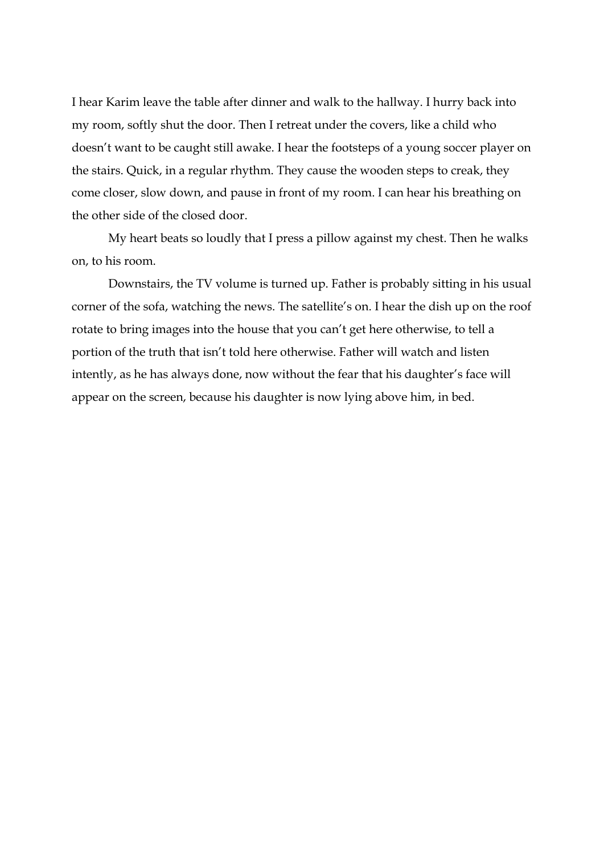I hear Karim leave the table after dinner and walk to the hallway. I hurry back into my room, softly shut the door. Then I retreat under the covers, like a child who doesn't want to be caught still awake. I hear the footsteps of a young soccer player on the stairs. Quick, in a regular rhythm. They cause the wooden steps to creak, they come closer, slow down, and pause in front of my room. I can hear his breathing on the other side of the closed door.

My heart beats so loudly that I press a pillow against my chest. Then he walks on, to his room.

Downstairs, the TV volume is turned up. Father is probably sitting in his usual corner of the sofa, watching the news. The satellite's on. I hear the dish up on the roof rotate to bring images into the house that you can't get here otherwise, to tell a portion of the truth that isn't told here otherwise. Father will watch and listen intently, as he has always done, now without the fear that his daughter's face will appear on the screen, because his daughter is now lying above him, in bed.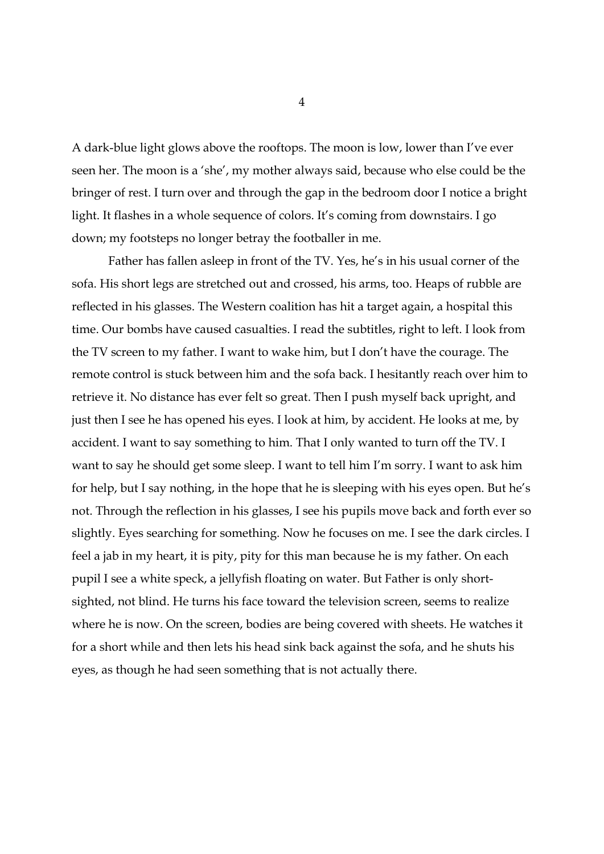A dark-blue light glows above the rooftops. The moon is low, lower than I've ever seen her. The moon is a 'she', my mother always said, because who else could be the bringer of rest. I turn over and through the gap in the bedroom door I notice a bright light. It flashes in a whole sequence of colors. It's coming from downstairs. I go down; my footsteps no longer betray the footballer in me.

Father has fallen asleep in front of the TV. Yes, he's in his usual corner of the sofa. His short legs are stretched out and crossed, his arms, too. Heaps of rubble are reflected in his glasses. The Western coalition has hit a target again, a hospital this time. Our bombs have caused casualties. I read the subtitles, right to left. I look from the TV screen to my father. I want to wake him, but I don't have the courage. The remote control is stuck between him and the sofa back. I hesitantly reach over him to retrieve it. No distance has ever felt so great. Then I push myself back upright, and just then I see he has opened his eyes. I look at him, by accident. He looks at me, by accident. I want to say something to him. That I only wanted to turn off the TV. I want to say he should get some sleep. I want to tell him I'm sorry. I want to ask him for help, but I say nothing, in the hope that he is sleeping with his eyes open. But he's not. Through the reflection in his glasses, I see his pupils move back and forth ever so slightly. Eyes searching for something. Now he focuses on me. I see the dark circles. I feel a jab in my heart, it is pity, pity for this man because he is my father. On each pupil I see a white speck, a jellyfish floating on water. But Father is only shortsighted, not blind. He turns his face toward the television screen, seems to realize where he is now. On the screen, bodies are being covered with sheets. He watches it for a short while and then lets his head sink back against the sofa, and he shuts his eyes, as though he had seen something that is not actually there.

4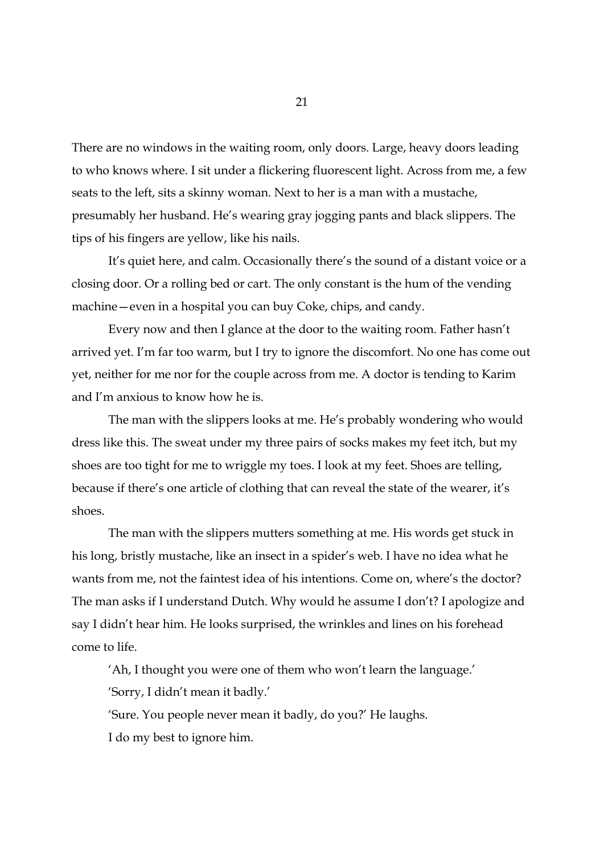There are no windows in the waiting room, only doors. Large, heavy doors leading to who knows where. I sit under a flickering fluorescent light. Across from me, a few seats to the left, sits a skinny woman. Next to her is a man with a mustache, presumably her husband. He's wearing gray jogging pants and black slippers. The tips of his fingers are yellow, like his nails.

It's quiet here, and calm. Occasionally there's the sound of a distant voice or a closing door. Or a rolling bed or cart. The only constant is the hum of the vending machine—even in a hospital you can buy Coke, chips, and candy.

Every now and then I glance at the door to the waiting room. Father hasn't arrived yet. I'm far too warm, but I try to ignore the discomfort. No one has come out yet, neither for me nor for the couple across from me. A doctor is tending to Karim and I'm anxious to know how he is.

The man with the slippers looks at me. He's probably wondering who would dress like this. The sweat under my three pairs of socks makes my feet itch, but my shoes are too tight for me to wriggle my toes. I look at my feet. Shoes are telling, because if there's one article of clothing that can reveal the state of the wearer, it's shoes.

The man with the slippers mutters something at me. His words get stuck in his long, bristly mustache, like an insect in a spider's web. I have no idea what he wants from me, not the faintest idea of his intentions. Come on, where's the doctor? The man asks if I understand Dutch. Why would he assume I don't? I apologize and say I didn't hear him. He looks surprised, the wrinkles and lines on his forehead come to life.

'Ah, I thought you were one of them who won't learn the language.' 'Sorry, I didn't mean it badly.'

'Sure. You people never mean it badly, do you?' He laughs.

I do my best to ignore him.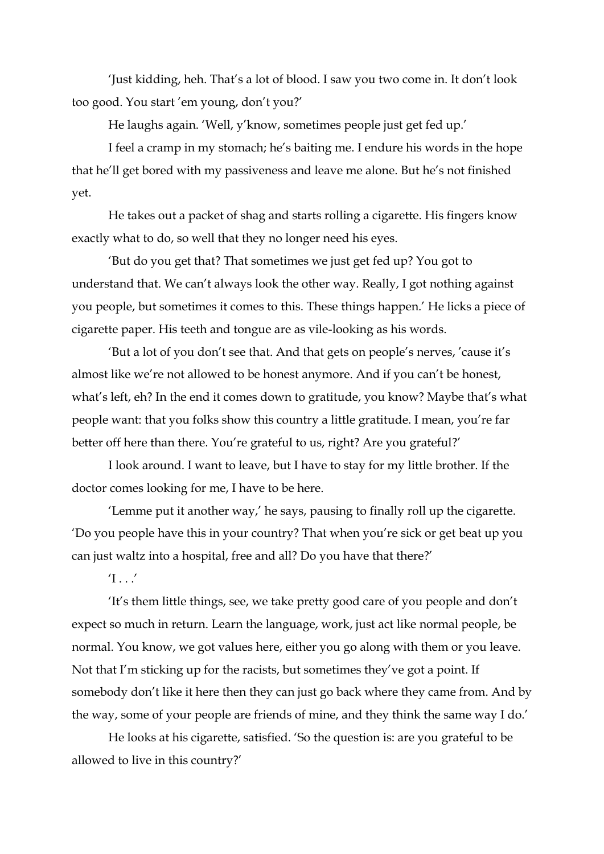'Just kidding, heh. That's a lot of blood. I saw you two come in. It don't look too good. You start 'em young, don't you?'

He laughs again. 'Well, y'know, sometimes people just get fed up.'

I feel a cramp in my stomach; he's baiting me. I endure his words in the hope that he'll get bored with my passiveness and leave me alone. But he's not finished yet.

He takes out a packet of shag and starts rolling a cigarette. His fingers know exactly what to do, so well that they no longer need his eyes.

'But do you get that? That sometimes we just get fed up? You got to understand that. We can't always look the other way. Really, I got nothing against you people, but sometimes it comes to this. These things happen.' He licks a piece of cigarette paper. His teeth and tongue are as vile-looking as his words.

'But a lot of you don't see that. And that gets on people's nerves, 'cause it's almost like we're not allowed to be honest anymore. And if you can't be honest, what's left, eh? In the end it comes down to gratitude, you know? Maybe that's what people want: that you folks show this country a little gratitude. I mean, you're far better off here than there. You're grateful to us, right? Are you grateful?'

I look around. I want to leave, but I have to stay for my little brother. If the doctor comes looking for me, I have to be here.

'Lemme put it another way,' he says, pausing to finally roll up the cigarette. 'Do you people have this in your country? That when you're sick or get beat up you can just waltz into a hospital, free and all? Do you have that there?'

 $T \cdot T$ 

'It's them little things, see, we take pretty good care of you people and don't expect so much in return. Learn the language, work, just act like normal people, be normal. You know, we got values here, either you go along with them or you leave. Not that I'm sticking up for the racists, but sometimes they've got a point. If somebody don't like it here then they can just go back where they came from. And by the way, some of your people are friends of mine, and they think the same way I do.'

He looks at his cigarette, satisfied. 'So the question is: are you grateful to be allowed to live in this country?'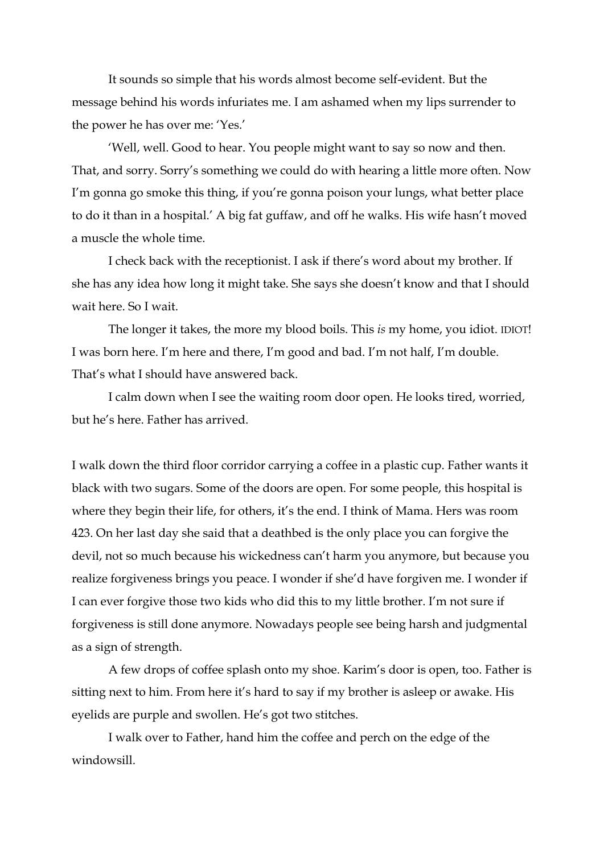It sounds so simple that his words almost become self-evident. But the message behind his words infuriates me. I am ashamed when my lips surrender to the power he has over me: 'Yes.'

'Well, well. Good to hear. You people might want to say so now and then. That, and sorry. Sorry's something we could do with hearing a little more often. Now I'm gonna go smoke this thing, if you're gonna poison your lungs, what better place to do it than in a hospital.' A big fat guffaw, and off he walks. His wife hasn't moved a muscle the whole time.

I check back with the receptionist. I ask if there's word about my brother. If she has any idea how long it might take. She says she doesn't know and that I should wait here. So I wait.

The longer it takes, the more my blood boils. This *is* my home, you idiot. IDIOT! I was born here. I'm here and there, I'm good and bad. I'm not half, I'm double. That's what I should have answered back.

I calm down when I see the waiting room door open. He looks tired, worried, but he's here. Father has arrived.

I walk down the third floor corridor carrying a coffee in a plastic cup. Father wants it black with two sugars. Some of the doors are open. For some people, this hospital is where they begin their life, for others, it's the end. I think of Mama. Hers was room 423. On her last day she said that a deathbed is the only place you can forgive the devil, not so much because his wickedness can't harm you anymore, but because you realize forgiveness brings you peace. I wonder if she'd have forgiven me. I wonder if I can ever forgive those two kids who did this to my little brother. I'm not sure if forgiveness is still done anymore. Nowadays people see being harsh and judgmental as a sign of strength.

A few drops of coffee splash onto my shoe. Karim's door is open, too. Father is sitting next to him. From here it's hard to say if my brother is asleep or awake. His eyelids are purple and swollen. He's got two stitches.

I walk over to Father, hand him the coffee and perch on the edge of the windowsill.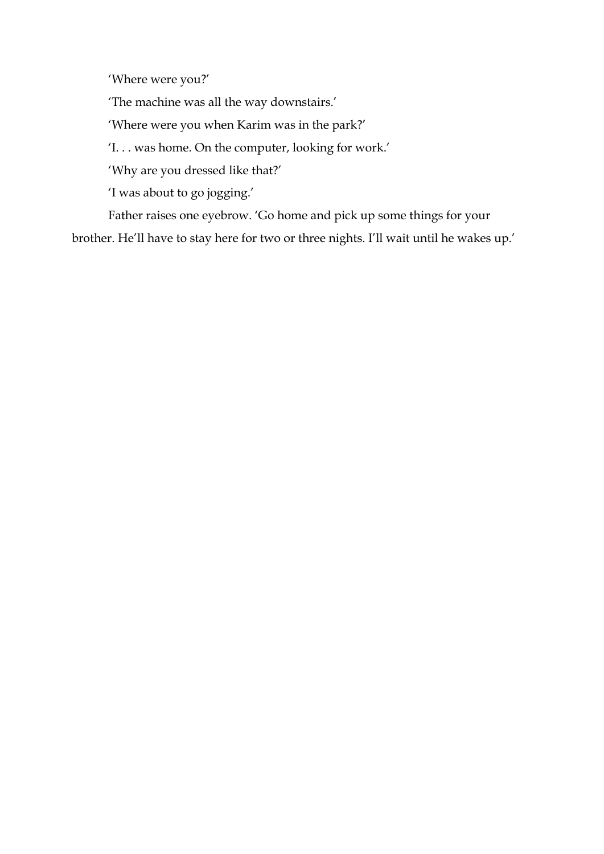'Where were you?'

'The machine was all the way downstairs.'

'Where were you when Karim was in the park?'

'I. . . was home. On the computer, looking for work.'

'Why are you dressed like that?'

'I was about to go jogging.'

Father raises one eyebrow. 'Go home and pick up some things for your brother. He'll have to stay here for two or three nights. I'll wait until he wakes up.'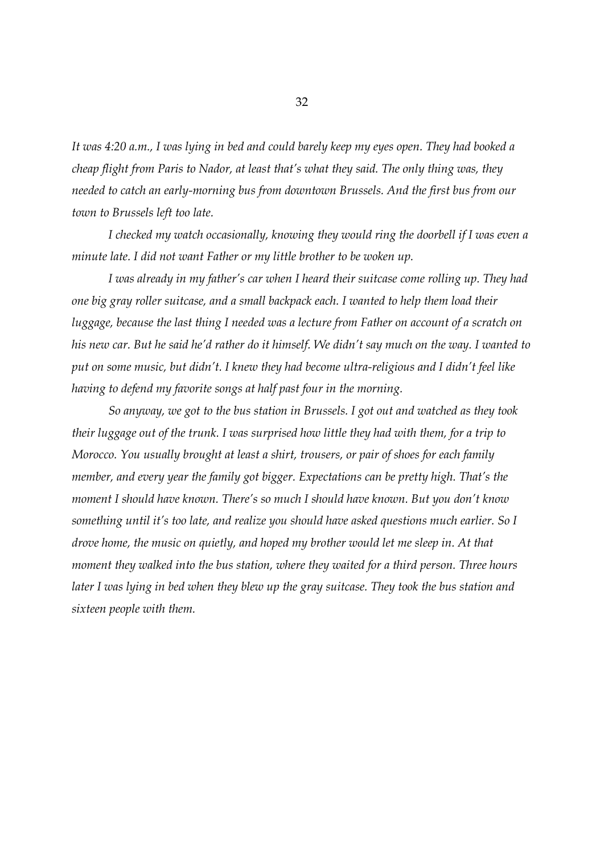*It was 4:20 a.m., I was lying in bed and could barely keep my eyes open. They had booked a cheap flight from Paris to Nador, at least that's what they said. The only thing was, they needed to catch an early-morning bus from downtown Brussels. And the first bus from our town to Brussels left too late.*

*I checked my watch occasionally, knowing they would ring the doorbell if I was even a minute late. I did not want Father or my little brother to be woken up.*

*I was already in my father's car when I heard their suitcase come rolling up. They had one big gray roller suitcase, and a small backpack each. I wanted to help them load their luggage, because the last thing I needed was a lecture from Father on account of a scratch on his new car. But he said he'd rather do it himself. We didn't say much on the way. I wanted to put on some music, but didn't. I knew they had become ultra-religious and I didn't feel like having to defend my favorite songs at half past four in the morning.*

*So anyway, we got to the bus station in Brussels. I got out and watched as they took their luggage out of the trunk. I was surprised how little they had with them, for a trip to Morocco. You usually brought at least a shirt, trousers, or pair of shoes for each family member, and every year the family got bigger. Expectations can be pretty high. That's the moment I should have known. There's so much I should have known. But you don't know something until it's too late, and realize you should have asked questions much earlier. So I drove home, the music on quietly, and hoped my brother would let me sleep in. At that moment they walked into the bus station, where they waited for a third person. Three hours later I was lying in bed when they blew up the gray suitcase. They took the bus station and sixteen people with them.*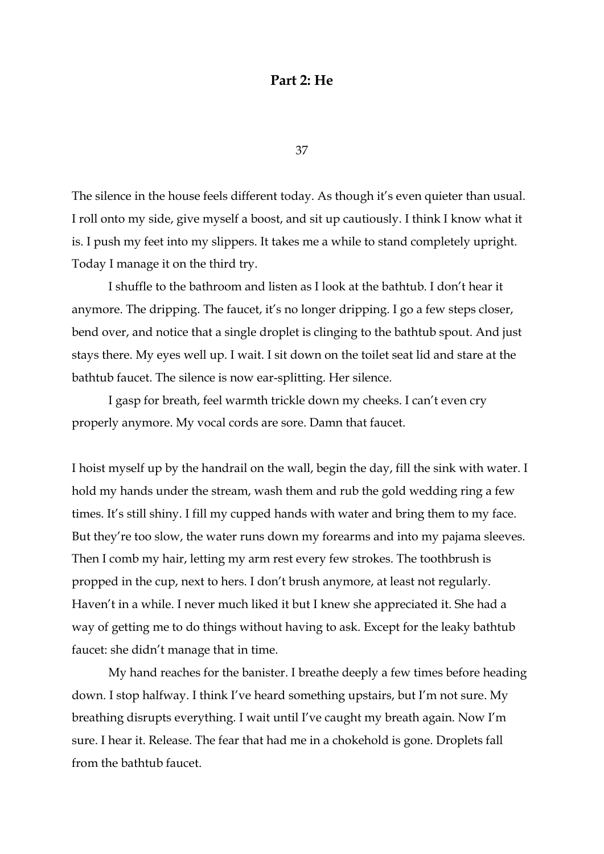## **Part 2: He**

37

The silence in the house feels different today. As though it's even quieter than usual. I roll onto my side, give myself a boost, and sit up cautiously. I think I know what it is. I push my feet into my slippers. It takes me a while to stand completely upright. Today I manage it on the third try.

I shuffle to the bathroom and listen as I look at the bathtub. I don't hear it anymore. The dripping. The faucet, it's no longer dripping. I go a few steps closer, bend over, and notice that a single droplet is clinging to the bathtub spout. And just stays there. My eyes well up. I wait. I sit down on the toilet seat lid and stare at the bathtub faucet. The silence is now ear-splitting. Her silence.

I gasp for breath, feel warmth trickle down my cheeks. I can't even cry properly anymore. My vocal cords are sore. Damn that faucet.

I hoist myself up by the handrail on the wall, begin the day, fill the sink with water. I hold my hands under the stream, wash them and rub the gold wedding ring a few times. It's still shiny. I fill my cupped hands with water and bring them to my face. But they're too slow, the water runs down my forearms and into my pajama sleeves. Then I comb my hair, letting my arm rest every few strokes. The toothbrush is propped in the cup, next to hers. I don't brush anymore, at least not regularly. Haven't in a while. I never much liked it but I knew she appreciated it. She had a way of getting me to do things without having to ask. Except for the leaky bathtub faucet: she didn't manage that in time.

My hand reaches for the banister. I breathe deeply a few times before heading down. I stop halfway. I think I've heard something upstairs, but I'm not sure. My breathing disrupts everything. I wait until I've caught my breath again. Now I'm sure. I hear it. Release. The fear that had me in a chokehold is gone. Droplets fall from the bathtub faucet.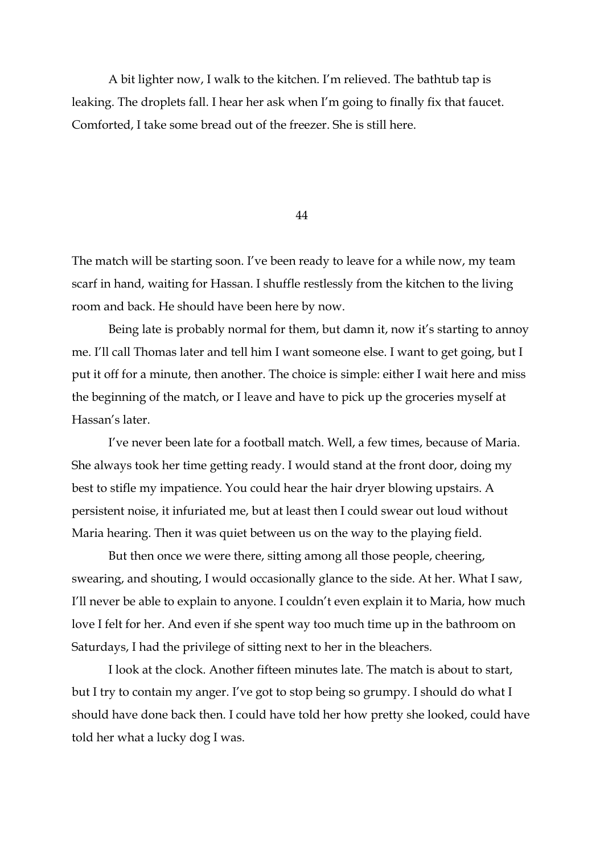A bit lighter now, I walk to the kitchen. I'm relieved. The bathtub tap is leaking. The droplets fall. I hear her ask when I'm going to finally fix that faucet. Comforted, I take some bread out of the freezer. She is still here.

44

The match will be starting soon. I've been ready to leave for a while now, my team scarf in hand, waiting for Hassan. I shuffle restlessly from the kitchen to the living room and back. He should have been here by now.

Being late is probably normal for them, but damn it, now it's starting to annoy me. I'll call Thomas later and tell him I want someone else. I want to get going, but I put it off for a minute, then another. The choice is simple: either I wait here and miss the beginning of the match, or I leave and have to pick up the groceries myself at Hassan's later.

I've never been late for a football match. Well, a few times, because of Maria. She always took her time getting ready. I would stand at the front door, doing my best to stifle my impatience. You could hear the hair dryer blowing upstairs. A persistent noise, it infuriated me, but at least then I could swear out loud without Maria hearing. Then it was quiet between us on the way to the playing field.

But then once we were there, sitting among all those people, cheering, swearing, and shouting, I would occasionally glance to the side. At her. What I saw, I'll never be able to explain to anyone. I couldn't even explain it to Maria, how much love I felt for her. And even if she spent way too much time up in the bathroom on Saturdays, I had the privilege of sitting next to her in the bleachers.

I look at the clock. Another fifteen minutes late. The match is about to start, but I try to contain my anger. I've got to stop being so grumpy. I should do what I should have done back then. I could have told her how pretty she looked, could have told her what a lucky dog I was.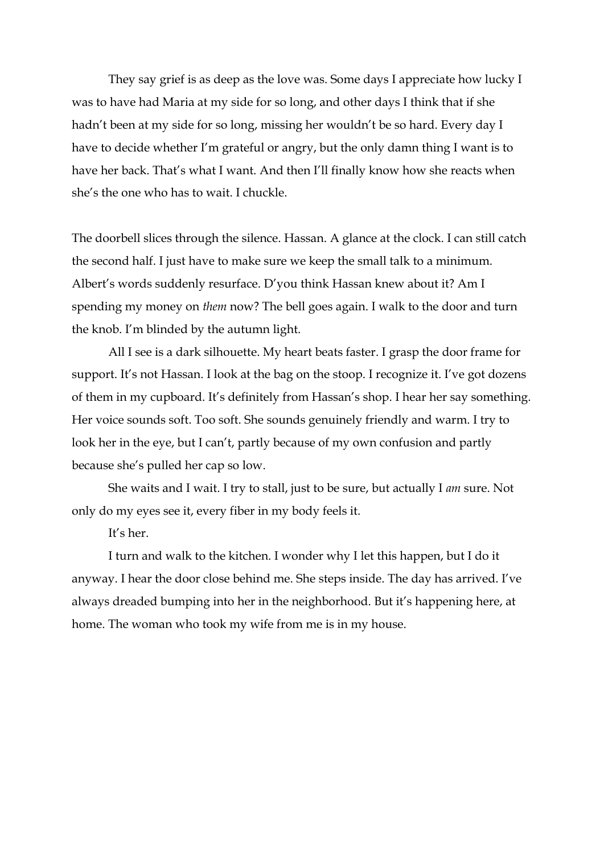They say grief is as deep as the love was. Some days I appreciate how lucky I was to have had Maria at my side for so long, and other days I think that if she hadn't been at my side for so long, missing her wouldn't be so hard. Every day I have to decide whether I'm grateful or angry, but the only damn thing I want is to have her back. That's what I want. And then I'll finally know how she reacts when she's the one who has to wait. I chuckle.

The doorbell slices through the silence. Hassan. A glance at the clock. I can still catch the second half. I just have to make sure we keep the small talk to a minimum. Albert's words suddenly resurface. D'you think Hassan knew about it? Am I spending my money on *them* now? The bell goes again. I walk to the door and turn the knob. I'm blinded by the autumn light.

All I see is a dark silhouette. My heart beats faster. I grasp the door frame for support. It's not Hassan. I look at the bag on the stoop. I recognize it. I've got dozens of them in my cupboard. It's definitely from Hassan's shop. I hear her say something. Her voice sounds soft. Too soft. She sounds genuinely friendly and warm. I try to look her in the eye, but I can't, partly because of my own confusion and partly because she's pulled her cap so low.

She waits and I wait. I try to stall, just to be sure, but actually I *am* sure. Not only do my eyes see it, every fiber in my body feels it.

It's her.

I turn and walk to the kitchen. I wonder why I let this happen, but I do it anyway. I hear the door close behind me. She steps inside. The day has arrived. I've always dreaded bumping into her in the neighborhood. But it's happening here, at home. The woman who took my wife from me is in my house.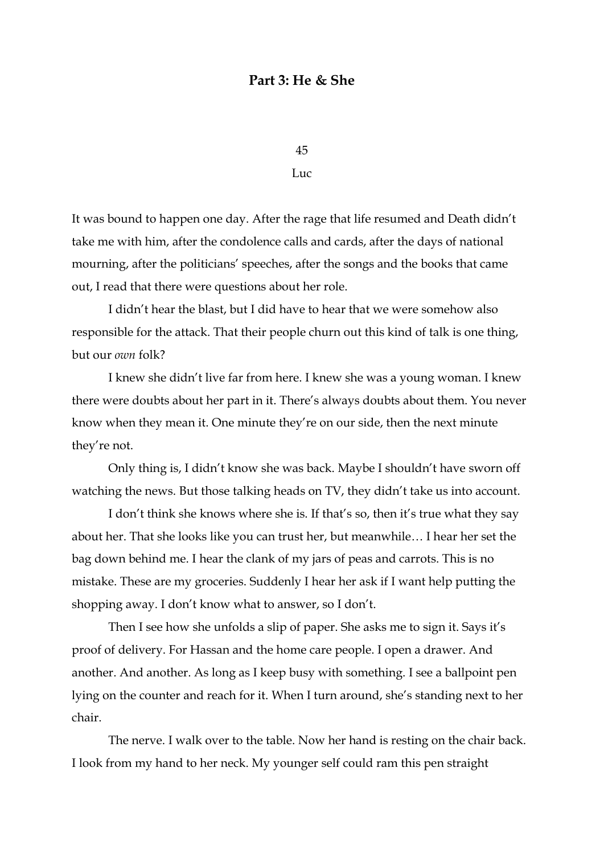## **Part 3: He & She**

45 Luc

It was bound to happen one day. After the rage that life resumed and Death didn't take me with him, after the condolence calls and cards, after the days of national mourning, after the politicians' speeches, after the songs and the books that came out, I read that there were questions about her role.

I didn't hear the blast, but I did have to hear that we were somehow also responsible for the attack. That their people churn out this kind of talk is one thing, but our *own* folk?

I knew she didn't live far from here. I knew she was a young woman. I knew there were doubts about her part in it. There's always doubts about them. You never know when they mean it. One minute they're on our side, then the next minute they're not.

Only thing is, I didn't know she was back. Maybe I shouldn't have sworn off watching the news. But those talking heads on TV, they didn't take us into account.

I don't think she knows where she is. If that's so, then it's true what they say about her. That she looks like you can trust her, but meanwhile… I hear her set the bag down behind me. I hear the clank of my jars of peas and carrots. This is no mistake. These are my groceries. Suddenly I hear her ask if I want help putting the shopping away. I don't know what to answer, so I don't.

Then I see how she unfolds a slip of paper. She asks me to sign it. Says it's proof of delivery. For Hassan and the home care people. I open a drawer. And another. And another. As long as I keep busy with something. I see a ballpoint pen lying on the counter and reach for it. When I turn around, she's standing next to her chair.

The nerve. I walk over to the table. Now her hand is resting on the chair back. I look from my hand to her neck. My younger self could ram this pen straight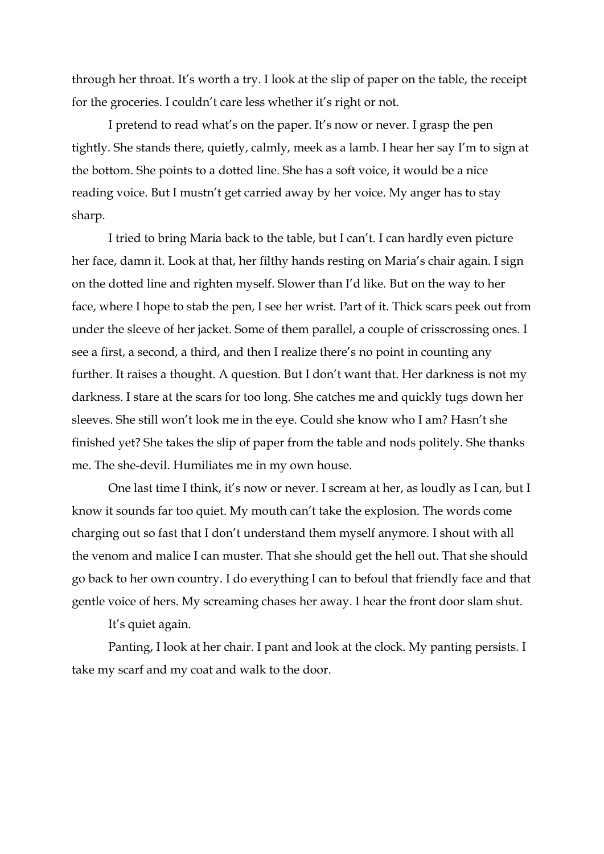through her throat. It's worth a try. I look at the slip of paper on the table, the receipt for the groceries. I couldn't care less whether it's right or not.

I pretend to read what's on the paper. It's now or never. I grasp the pen tightly. She stands there, quietly, calmly, meek as a lamb. I hear her say I'm to sign at the bottom. She points to a dotted line. She has a soft voice, it would be a nice reading voice. But I mustn't get carried away by her voice. My anger has to stay sharp.

I tried to bring Maria back to the table, but I can't. I can hardly even picture her face, damn it. Look at that, her filthy hands resting on Maria's chair again. I sign on the dotted line and righten myself. Slower than I'd like. But on the way to her face, where I hope to stab the pen, I see her wrist. Part of it. Thick scars peek out from under the sleeve of her jacket. Some of them parallel, a couple of crisscrossing ones. I see a first, a second, a third, and then I realize there's no point in counting any further. It raises a thought. A question. But I don't want that. Her darkness is not my darkness. I stare at the scars for too long. She catches me and quickly tugs down her sleeves. She still won't look me in the eye. Could she know who I am? Hasn't she finished yet? She takes the slip of paper from the table and nods politely. She thanks me. The she-devil. Humiliates me in my own house.

One last time I think, it's now or never. I scream at her, as loudly as I can, but I know it sounds far too quiet. My mouth can't take the explosion. The words come charging out so fast that I don't understand them myself anymore. I shout with all the venom and malice I can muster. That she should get the hell out. That she should go back to her own country. I do everything I can to befoul that friendly face and that gentle voice of hers. My screaming chases her away. I hear the front door slam shut.

It's quiet again.

Panting, I look at her chair. I pant and look at the clock. My panting persists. I take my scarf and my coat and walk to the door.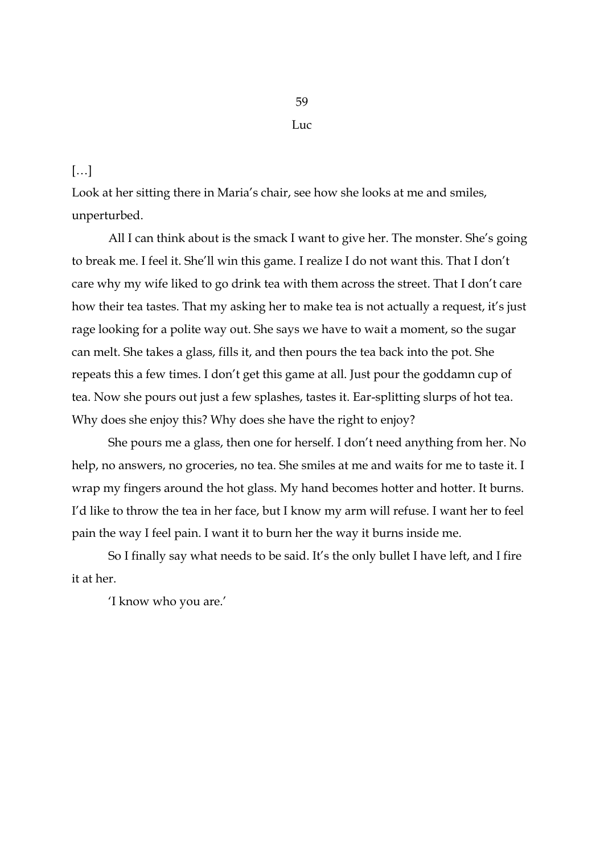#### […]

Look at her sitting there in Maria's chair, see how she looks at me and smiles, unperturbed.

All I can think about is the smack I want to give her. The monster. She's going to break me. I feel it. She'll win this game. I realize I do not want this. That I don't care why my wife liked to go drink tea with them across the street. That I don't care how their tea tastes. That my asking her to make tea is not actually a request, it's just rage looking for a polite way out. She says we have to wait a moment, so the sugar can melt. She takes a glass, fills it, and then pours the tea back into the pot. She repeats this a few times. I don't get this game at all. Just pour the goddamn cup of tea. Now she pours out just a few splashes, tastes it. Ear-splitting slurps of hot tea. Why does she enjoy this? Why does she have the right to enjoy?

She pours me a glass, then one for herself. I don't need anything from her. No help, no answers, no groceries, no tea. She smiles at me and waits for me to taste it. I wrap my fingers around the hot glass. My hand becomes hotter and hotter. It burns. I'd like to throw the tea in her face, but I know my arm will refuse. I want her to feel pain the way I feel pain. I want it to burn her the way it burns inside me.

So I finally say what needs to be said. It's the only bullet I have left, and I fire it at her.

'I know who you are.'

Luc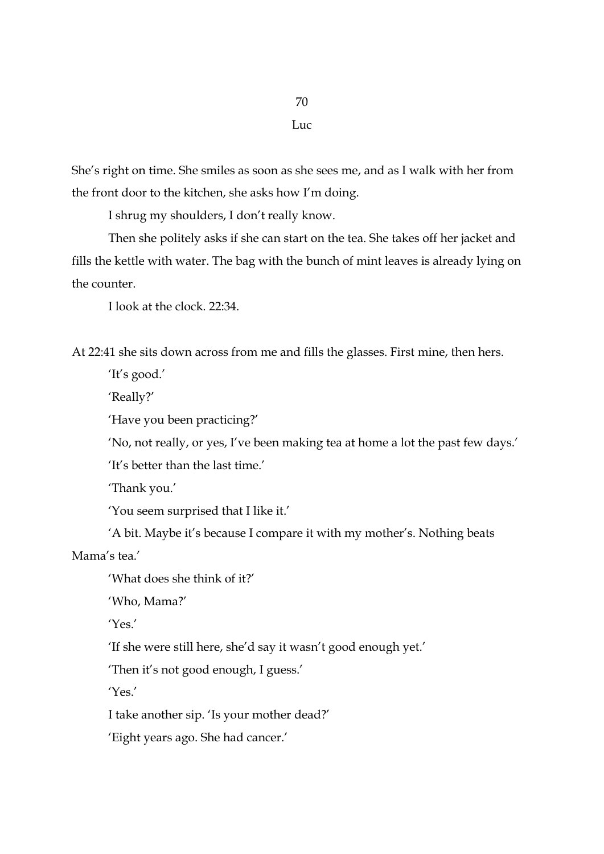#### Luc

70

She's right on time. She smiles as soon as she sees me, and as I walk with her from the front door to the kitchen, she asks how I'm doing.

I shrug my shoulders, I don't really know.

Then she politely asks if she can start on the tea. She takes off her jacket and fills the kettle with water. The bag with the bunch of mint leaves is already lying on the counter.

I look at the clock. 22:34.

At 22:41 she sits down across from me and fills the glasses. First mine, then hers.

'It's good.'

'Really?'

'Have you been practicing?'

'No, not really, or yes, I've been making tea at home a lot the past few days.'

'It's better than the last time.'

'Thank you.'

'You seem surprised that I like it.'

'A bit. Maybe it's because I compare it with my mother's. Nothing beats Mama's tea.'

'What does she think of it?'

'Who, Mama?'

'Yes.'

'If she were still here, she'd say it wasn't good enough yet.'

'Then it's not good enough, I guess.'

'Yes.'

I take another sip. 'Is your mother dead?'

'Eight years ago. She had cancer.'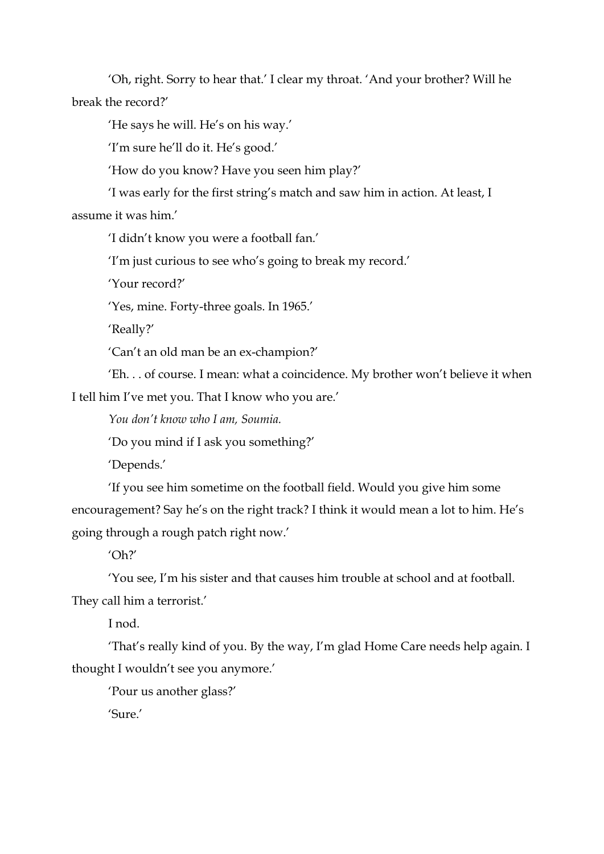'Oh, right. Sorry to hear that.' I clear my throat. 'And your brother? Will he break the record?'

'He says he will. He's on his way.'

'I'm sure he'll do it. He's good.'

'How do you know? Have you seen him play?'

'I was early for the first string's match and saw him in action. At least, I

assume it was him.'

'I didn't know you were a football fan.'

'I'm just curious to see who's going to break my record.'

'Your record?'

'Yes, mine. Forty-three goals. In 1965.'

'Really?'

'Can't an old man be an ex-champion?'

'Eh. . . of course. I mean: what a coincidence. My brother won't believe it when I tell him I've met you. That I know who you are.'

*You don't know who I am, Soumia.*

'Do you mind if I ask you something?'

'Depends.'

'If you see him sometime on the football field. Would you give him some encouragement? Say he's on the right track? I think it would mean a lot to him. He's going through a rough patch right now.'

'Oh?'

'You see, I'm his sister and that causes him trouble at school and at football. They call him a terrorist.'

I nod.

'That's really kind of you. By the way, I'm glad Home Care needs help again. I thought I wouldn't see you anymore.'

'Pour us another glass?'

'Sure.'